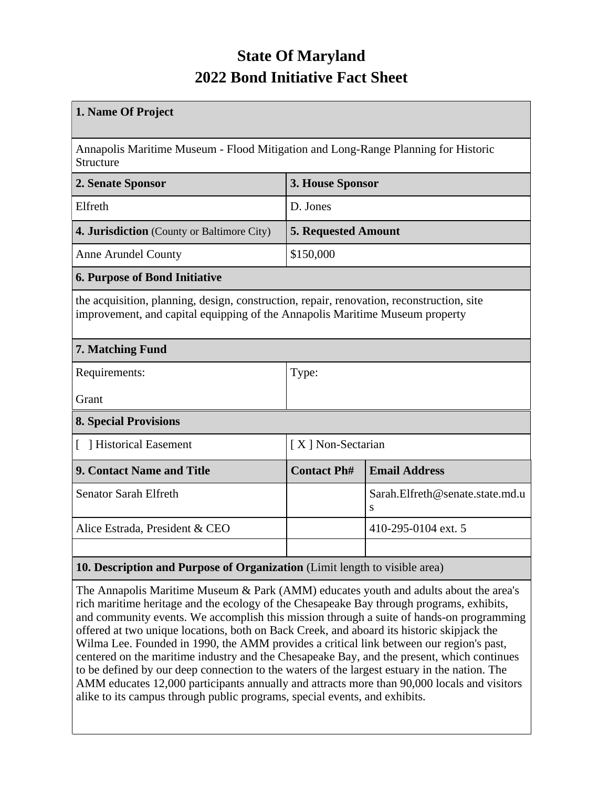## **State Of Maryland 2022 Bond Initiative Fact Sheet**

| 1. Name Of Project                                                                                                                                                        |                            |                                      |  |  |  |
|---------------------------------------------------------------------------------------------------------------------------------------------------------------------------|----------------------------|--------------------------------------|--|--|--|
| Annapolis Maritime Museum - Flood Mitigation and Long-Range Planning for Historic<br>Structure                                                                            |                            |                                      |  |  |  |
| 2. Senate Sponsor<br>3. House Sponsor                                                                                                                                     |                            |                                      |  |  |  |
| Elfreth                                                                                                                                                                   | D. Jones                   |                                      |  |  |  |
| 4. Jurisdiction (County or Baltimore City)                                                                                                                                | <b>5. Requested Amount</b> |                                      |  |  |  |
| <b>Anne Arundel County</b>                                                                                                                                                | \$150,000                  |                                      |  |  |  |
| <b>6. Purpose of Bond Initiative</b>                                                                                                                                      |                            |                                      |  |  |  |
| the acquisition, planning, design, construction, repair, renovation, reconstruction, site<br>improvement, and capital equipping of the Annapolis Maritime Museum property |                            |                                      |  |  |  |
| 7. Matching Fund                                                                                                                                                          |                            |                                      |  |  |  |
| Requirements:                                                                                                                                                             | Type:                      |                                      |  |  |  |
| Grant                                                                                                                                                                     |                            |                                      |  |  |  |
| <b>8. Special Provisions</b>                                                                                                                                              |                            |                                      |  |  |  |
| [ ] Historical Easement                                                                                                                                                   | [X] Non-Sectarian          |                                      |  |  |  |
| <b>9. Contact Name and Title</b>                                                                                                                                          | <b>Contact Ph#</b>         | <b>Email Address</b>                 |  |  |  |
| <b>Senator Sarah Elfreth</b>                                                                                                                                              |                            | Sarah.Elfreth@senate.state.md.u<br>S |  |  |  |
| Alice Estrada, President & CEO                                                                                                                                            | 410-295-0104 ext. 5        |                                      |  |  |  |
|                                                                                                                                                                           |                            |                                      |  |  |  |
| 10. Description and Purpose of Organization (Limit length to visible area)                                                                                                |                            |                                      |  |  |  |

The Annapolis Maritime Museum & Park (AMM) educates youth and adults about the area's rich maritime heritage and the ecology of the Chesapeake Bay through programs, exhibits, and community events. We accomplish this mission through a suite of hands-on programming offered at two unique locations, both on Back Creek, and aboard its historic skipjack the Wilma Lee. Founded in 1990, the AMM provides a critical link between our region's past, centered on the maritime industry and the Chesapeake Bay, and the present, which continues to be defined by our deep connection to the waters of the largest estuary in the nation. The AMM educates 12,000 participants annually and attracts more than 90,000 locals and visitors alike to its campus through public programs, special events, and exhibits.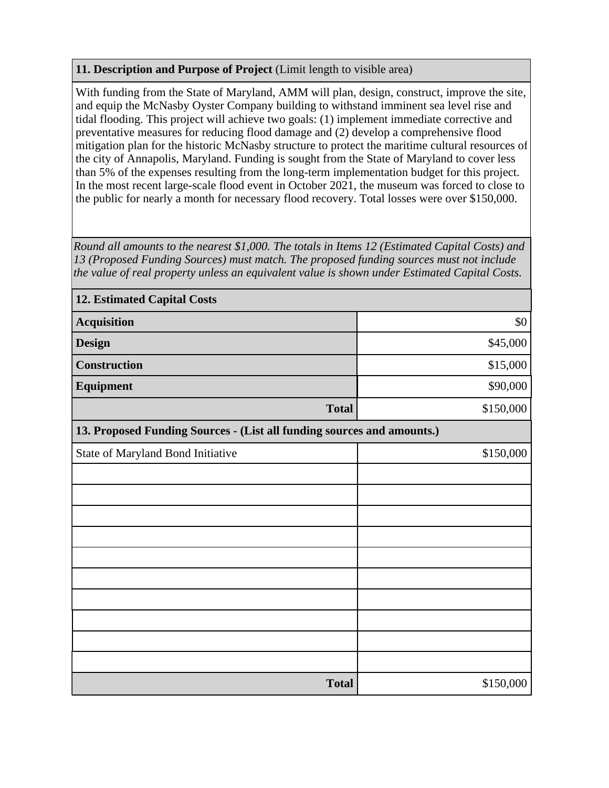## **11. Description and Purpose of Project** (Limit length to visible area)

With funding from the State of Maryland, AMM will plan, design, construct, improve the site, and equip the McNasby Oyster Company building to withstand imminent sea level rise and tidal flooding. This project will achieve two goals: (1) implement immediate corrective and preventative measures for reducing flood damage and (2) develop a comprehensive flood mitigation plan for the historic McNasby structure to protect the maritime cultural resources of the city of Annapolis, Maryland. Funding is sought from the State of Maryland to cover less than 5% of the expenses resulting from the long-term implementation budget for this project. In the most recent large-scale flood event in October 2021, the museum was forced to close to the public for nearly a month for necessary flood recovery. Total losses were over \$150,000.

*Round all amounts to the nearest \$1,000. The totals in Items 12 (Estimated Capital Costs) and 13 (Proposed Funding Sources) must match. The proposed funding sources must not include the value of real property unless an equivalent value is shown under Estimated Capital Costs.*

| <b>12. Estimated Capital Costs</b>                                     |           |  |  |  |  |
|------------------------------------------------------------------------|-----------|--|--|--|--|
| <b>Acquisition</b>                                                     | \$0       |  |  |  |  |
| <b>Design</b>                                                          | \$45,000  |  |  |  |  |
| Construction                                                           | \$15,000  |  |  |  |  |
| Equipment                                                              | \$90,000  |  |  |  |  |
| <b>Total</b>                                                           | \$150,000 |  |  |  |  |
| 13. Proposed Funding Sources - (List all funding sources and amounts.) |           |  |  |  |  |
| State of Maryland Bond Initiative                                      | \$150,000 |  |  |  |  |
|                                                                        |           |  |  |  |  |
|                                                                        |           |  |  |  |  |
|                                                                        |           |  |  |  |  |
|                                                                        |           |  |  |  |  |
|                                                                        |           |  |  |  |  |
|                                                                        |           |  |  |  |  |
|                                                                        |           |  |  |  |  |
|                                                                        |           |  |  |  |  |
|                                                                        |           |  |  |  |  |
|                                                                        |           |  |  |  |  |
| <b>Total</b>                                                           | \$150,000 |  |  |  |  |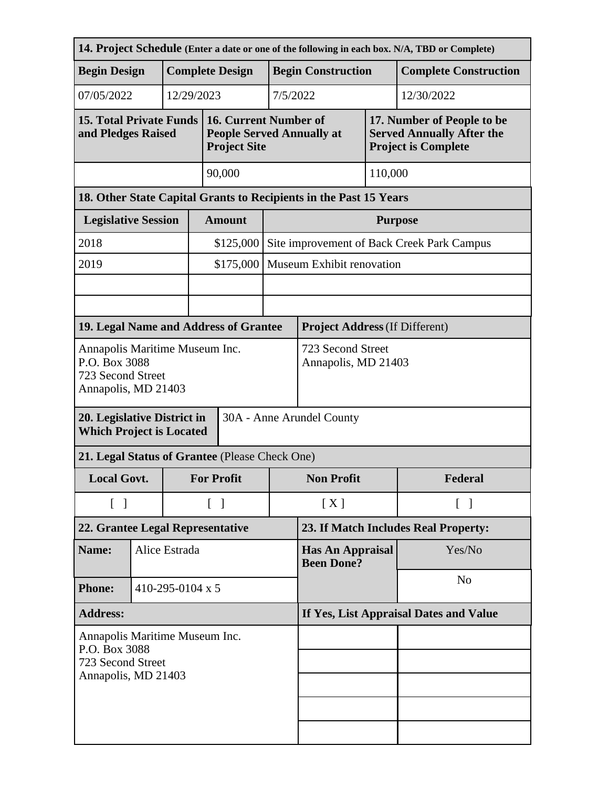| 14. Project Schedule (Enter a date or one of the following in each box. N/A, TBD or Complete) |                                                |                        |                                          |                                                                                  |                           |                                              |         |                                                                                              |  |
|-----------------------------------------------------------------------------------------------|------------------------------------------------|------------------------|------------------------------------------|----------------------------------------------------------------------------------|---------------------------|----------------------------------------------|---------|----------------------------------------------------------------------------------------------|--|
| <b>Begin Design</b>                                                                           |                                                | <b>Complete Design</b> |                                          |                                                                                  |                           | <b>Begin Construction</b>                    |         | <b>Complete Construction</b>                                                                 |  |
| 07/05/2022                                                                                    |                                                |                        | 12/29/2023                               |                                                                                  | 7/5/2022                  |                                              |         | 12/30/2022                                                                                   |  |
| <b>15. Total Private Funds</b><br>and Pledges Raised                                          |                                                |                        |                                          | 16. Current Number of<br><b>People Served Annually at</b><br><b>Project Site</b> |                           |                                              |         | 17. Number of People to be<br><b>Served Annually After the</b><br><b>Project is Complete</b> |  |
|                                                                                               | 90,000                                         |                        |                                          |                                                                                  |                           | 110,000                                      |         |                                                                                              |  |
| 18. Other State Capital Grants to Recipients in the Past 15 Years                             |                                                |                        |                                          |                                                                                  |                           |                                              |         |                                                                                              |  |
| <b>Legislative Session</b>                                                                    |                                                |                        |                                          | <b>Amount</b>                                                                    |                           | <b>Purpose</b>                               |         |                                                                                              |  |
| 2018                                                                                          |                                                |                        |                                          | \$125,000                                                                        |                           | Site improvement of Back Creek Park Campus   |         |                                                                                              |  |
| 2019                                                                                          |                                                |                        |                                          | \$175,000                                                                        | Museum Exhibit renovation |                                              |         |                                                                                              |  |
|                                                                                               |                                                |                        |                                          |                                                                                  |                           |                                              |         |                                                                                              |  |
|                                                                                               |                                                |                        |                                          |                                                                                  |                           |                                              |         |                                                                                              |  |
|                                                                                               | 19. Legal Name and Address of Grantee          |                        |                                          | <b>Project Address (If Different)</b>                                            |                           |                                              |         |                                                                                              |  |
| Annapolis Maritime Museum Inc.<br>P.O. Box 3088<br>723 Second Street<br>Annapolis, MD 21403   |                                                |                        | 723 Second Street<br>Annapolis, MD 21403 |                                                                                  |                           |                                              |         |                                                                                              |  |
| 20. Legislative District in<br>30A - Anne Arundel County<br><b>Which Project is Located</b>   |                                                |                        |                                          |                                                                                  |                           |                                              |         |                                                                                              |  |
|                                                                                               | 21. Legal Status of Grantee (Please Check One) |                        |                                          |                                                                                  |                           |                                              |         |                                                                                              |  |
| <b>Local Govt.</b>                                                                            |                                                |                        | <b>For Profit</b>                        |                                                                                  | <b>Non Profit</b>         |                                              | Federal |                                                                                              |  |
| $\begin{bmatrix} 1 \end{bmatrix}$                                                             |                                                |                        |                                          | $\begin{bmatrix} 1 \end{bmatrix}$                                                |                           | [X]<br>$\lceil \; \rceil$                    |         |                                                                                              |  |
| 22. Grantee Legal Representative                                                              |                                                |                        | 23. If Match Includes Real Property:     |                                                                                  |                           |                                              |         |                                                                                              |  |
| Name:                                                                                         | Alice Estrada                                  |                        |                                          |                                                                                  |                           | <b>Has An Appraisal</b><br><b>Been Done?</b> |         | Yes/No                                                                                       |  |
| <b>Phone:</b>                                                                                 | 410-295-0104 x 5                               |                        |                                          |                                                                                  |                           | N <sub>o</sub>                               |         |                                                                                              |  |
| <b>Address:</b>                                                                               |                                                |                        | If Yes, List Appraisal Dates and Value   |                                                                                  |                           |                                              |         |                                                                                              |  |
| Annapolis Maritime Museum Inc.<br>P.O. Box 3088<br>723 Second Street<br>Annapolis, MD 21403   |                                                |                        |                                          |                                                                                  |                           |                                              |         |                                                                                              |  |
|                                                                                               |                                                |                        |                                          |                                                                                  |                           |                                              |         |                                                                                              |  |
|                                                                                               |                                                |                        |                                          |                                                                                  |                           |                                              |         |                                                                                              |  |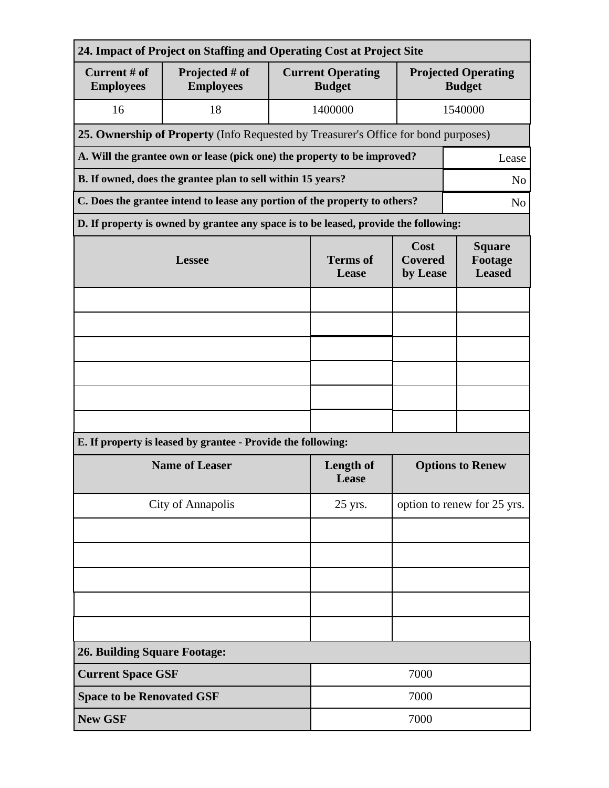| 24. Impact of Project on Staffing and Operating Cost at Project Site                         |                                                                                      |                          |                                                                                 |                                             |         |  |  |
|----------------------------------------------------------------------------------------------|--------------------------------------------------------------------------------------|--------------------------|---------------------------------------------------------------------------------|---------------------------------------------|---------|--|--|
| Current # of<br><b>Employees</b>                                                             | Projected # of<br><b>Employees</b>                                                   |                          | <b>Current Operating</b><br><b>Budget</b>                                       | <b>Projected Operating</b><br><b>Budget</b> |         |  |  |
| 16                                                                                           | 18                                                                                   |                          | 1400000                                                                         |                                             | 1540000 |  |  |
|                                                                                              | 25. Ownership of Property (Info Requested by Treasurer's Office for bond purposes)   |                          |                                                                                 |                                             |         |  |  |
| A. Will the grantee own or lease (pick one) the property to be improved?<br>Lease            |                                                                                      |                          |                                                                                 |                                             |         |  |  |
| B. If owned, does the grantee plan to sell within 15 years?<br>N <sub>o</sub>                |                                                                                      |                          |                                                                                 |                                             |         |  |  |
| C. Does the grantee intend to lease any portion of the property to others?<br>N <sub>o</sub> |                                                                                      |                          |                                                                                 |                                             |         |  |  |
|                                                                                              | D. If property is owned by grantee any space is to be leased, provide the following: |                          |                                                                                 |                                             |         |  |  |
|                                                                                              | <b>Lessee</b>                                                                        | <b>Terms of</b><br>Lease | Cost<br><b>Square</b><br><b>Covered</b><br>Footage<br><b>Leased</b><br>by Lease |                                             |         |  |  |
|                                                                                              |                                                                                      |                          |                                                                                 |                                             |         |  |  |
|                                                                                              |                                                                                      |                          |                                                                                 |                                             |         |  |  |
|                                                                                              |                                                                                      |                          |                                                                                 |                                             |         |  |  |
|                                                                                              |                                                                                      |                          |                                                                                 |                                             |         |  |  |
|                                                                                              |                                                                                      |                          |                                                                                 |                                             |         |  |  |
|                                                                                              |                                                                                      |                          |                                                                                 |                                             |         |  |  |
| E. If property is leased by grantee - Provide the following:                                 |                                                                                      |                          |                                                                                 |                                             |         |  |  |
| <b>Name of Leaser</b>                                                                        |                                                                                      |                          | Length of<br>Lease                                                              | <b>Options to Renew</b>                     |         |  |  |
|                                                                                              | <b>City of Annapolis</b>                                                             | 25 yrs.                  | option to renew for 25 yrs.                                                     |                                             |         |  |  |
|                                                                                              |                                                                                      |                          |                                                                                 |                                             |         |  |  |
|                                                                                              |                                                                                      |                          |                                                                                 |                                             |         |  |  |
|                                                                                              |                                                                                      |                          |                                                                                 |                                             |         |  |  |
|                                                                                              |                                                                                      |                          |                                                                                 |                                             |         |  |  |
|                                                                                              |                                                                                      |                          |                                                                                 |                                             |         |  |  |
| <b>26. Building Square Footage:</b>                                                          |                                                                                      |                          |                                                                                 |                                             |         |  |  |
|                                                                                              | <b>Current Space GSF</b><br>7000                                                     |                          |                                                                                 |                                             |         |  |  |
|                                                                                              | <b>Space to be Renovated GSF</b><br>7000                                             |                          |                                                                                 |                                             |         |  |  |
| <b>New GSF</b>                                                                               |                                                                                      |                          | 7000                                                                            |                                             |         |  |  |